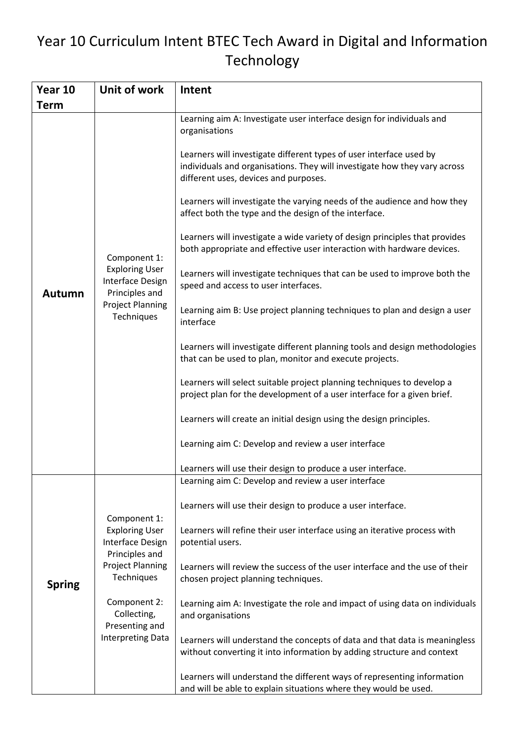## Year 10 Curriculum Intent BTEC Tech Award in Digital and Information Technology

| Year 10       | Unit of work                                                                                                                                                                                      | Intent                                                                                                                                                                                                                                                                                                                                                                                                                                                                                                                                                                                                                                                                                                                                                                                                                                                                                                                                                                                                                                                                                                                                                                                                                        |
|---------------|---------------------------------------------------------------------------------------------------------------------------------------------------------------------------------------------------|-------------------------------------------------------------------------------------------------------------------------------------------------------------------------------------------------------------------------------------------------------------------------------------------------------------------------------------------------------------------------------------------------------------------------------------------------------------------------------------------------------------------------------------------------------------------------------------------------------------------------------------------------------------------------------------------------------------------------------------------------------------------------------------------------------------------------------------------------------------------------------------------------------------------------------------------------------------------------------------------------------------------------------------------------------------------------------------------------------------------------------------------------------------------------------------------------------------------------------|
| <b>Term</b>   |                                                                                                                                                                                                   |                                                                                                                                                                                                                                                                                                                                                                                                                                                                                                                                                                                                                                                                                                                                                                                                                                                                                                                                                                                                                                                                                                                                                                                                                               |
| <b>Autumn</b> | Component 1:<br><b>Exploring User</b><br>Interface Design<br>Principles and<br><b>Project Planning</b><br>Techniques                                                                              | Learning aim A: Investigate user interface design for individuals and<br>organisations<br>Learners will investigate different types of user interface used by<br>individuals and organisations. They will investigate how they vary across<br>different uses, devices and purposes.<br>Learners will investigate the varying needs of the audience and how they<br>affect both the type and the design of the interface.<br>Learners will investigate a wide variety of design principles that provides<br>both appropriate and effective user interaction with hardware devices.<br>Learners will investigate techniques that can be used to improve both the<br>speed and access to user interfaces.<br>Learning aim B: Use project planning techniques to plan and design a user<br>interface<br>Learners will investigate different planning tools and design methodologies<br>that can be used to plan, monitor and execute projects.<br>Learners will select suitable project planning techniques to develop a<br>project plan for the development of a user interface for a given brief.<br>Learners will create an initial design using the design principles.<br>Learning aim C: Develop and review a user interface |
|               |                                                                                                                                                                                                   |                                                                                                                                                                                                                                                                                                                                                                                                                                                                                                                                                                                                                                                                                                                                                                                                                                                                                                                                                                                                                                                                                                                                                                                                                               |
|               |                                                                                                                                                                                                   | Learners will use their design to produce a user interface.                                                                                                                                                                                                                                                                                                                                                                                                                                                                                                                                                                                                                                                                                                                                                                                                                                                                                                                                                                                                                                                                                                                                                                   |
| <b>Spring</b> |                                                                                                                                                                                                   | Learning aim C: Develop and review a user interface                                                                                                                                                                                                                                                                                                                                                                                                                                                                                                                                                                                                                                                                                                                                                                                                                                                                                                                                                                                                                                                                                                                                                                           |
|               | Component 1:<br><b>Exploring User</b><br>Interface Design<br>Principles and<br><b>Project Planning</b><br>Techniques<br>Component 2:<br>Collecting,<br>Presenting and<br><b>Interpreting Data</b> | Learners will use their design to produce a user interface.                                                                                                                                                                                                                                                                                                                                                                                                                                                                                                                                                                                                                                                                                                                                                                                                                                                                                                                                                                                                                                                                                                                                                                   |
|               |                                                                                                                                                                                                   | Learners will refine their user interface using an iterative process with<br>potential users.                                                                                                                                                                                                                                                                                                                                                                                                                                                                                                                                                                                                                                                                                                                                                                                                                                                                                                                                                                                                                                                                                                                                 |
|               |                                                                                                                                                                                                   | Learners will review the success of the user interface and the use of their<br>chosen project planning techniques.                                                                                                                                                                                                                                                                                                                                                                                                                                                                                                                                                                                                                                                                                                                                                                                                                                                                                                                                                                                                                                                                                                            |
|               |                                                                                                                                                                                                   | Learning aim A: Investigate the role and impact of using data on individuals<br>and organisations                                                                                                                                                                                                                                                                                                                                                                                                                                                                                                                                                                                                                                                                                                                                                                                                                                                                                                                                                                                                                                                                                                                             |
|               |                                                                                                                                                                                                   | Learners will understand the concepts of data and that data is meaningless<br>without converting it into information by adding structure and context                                                                                                                                                                                                                                                                                                                                                                                                                                                                                                                                                                                                                                                                                                                                                                                                                                                                                                                                                                                                                                                                          |
|               |                                                                                                                                                                                                   | Learners will understand the different ways of representing information<br>and will be able to explain situations where they would be used.                                                                                                                                                                                                                                                                                                                                                                                                                                                                                                                                                                                                                                                                                                                                                                                                                                                                                                                                                                                                                                                                                   |